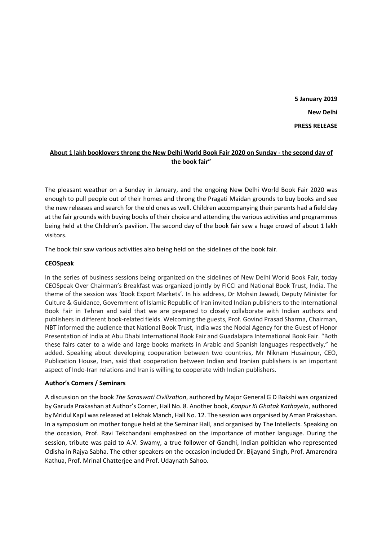**5 January 2019 New Delhi PRESS RELEASE** 

# **About 1 lakh booklovers throng the New Delhi World Book Fair 2020 on Sunday - the second day of the book fair"**

The pleasant weather on a Sunday in January, and the ongoing New Delhi World Book Fair 2020 was enough to pull people out of their homes and throng the Pragati Maidan grounds to buy books and see the new releases and search for the old ones as well. Children accompanying their parents had a field day at the fair grounds with buying books of their choice and attending the various activities and programmes being held at the Children's pavilion. The second day of the book fair saw a huge crowd of about 1 lakh visitors.

The book fair saw various activities also being held on the sidelines of the book fair.

## **CEOSpeak**

In the series of business sessions being organized on the sidelines of New Delhi World Book Fair, today CEOSpeak Over Chairman's Breakfast was organized jointly by FICCI and National Book Trust, India. The theme of the session was 'Book Export Markets'. In his address, Dr Mohsin Jawadi, Deputy Minister for Culture & Guidance, Government of Islamic Republic of Iran invited Indian publishers to the International Book Fair in Tehran and said that we are prepared to closely collaborate with Indian authors and publishers in different book-related fields. Welcoming the guests, Prof. Govind Prasad Sharma, Chairman, NBT informed the audience that National Book Trust, India was the Nodal Agency for the Guest of Honor Presentation of India at Abu Dhabi International Book Fair and Guadalajara International Book Fair. "Both these fairs cater to a wide and large books markets in Arabic and Spanish languages respectively," he added. Speaking about developing cooperation between two countries, Mr Niknam Husainpur, CEO, Publication House, Iran, said that cooperation between Indian and Iranian publishers is an important aspect of Indo-Iran relations and Iran is willing to cooperate with Indian publishers.

# **Author's Corners / Seminars**

A discussion on the book *The Saraswati Civilization*, authored by Major General G D Bakshi was organized by Garuda Prakashan at Author's Corner, Hall No. 8. Another book, *Kanpur Ki Ghatak Kathayein*, authored by Mridul Kapil was released at Lekhak Manch, Hall No. 12. The session was organised by Aman Prakashan. In a symposium on mother tongue held at the Seminar Hall, and organised by The Intellects. Speaking on the occasion, Prof. Ravi Tekchandani emphasized on the importance of mother language. During the session, tribute was paid to A.V. Swamy, a true follower of Gandhi, Indian politician who represented Odisha in Rajya Sabha. The other speakers on the occasion included Dr. Bijayand Singh, Prof. Amarendra Kathua, Prof. Mrinal Chatterjee and Prof. Udaynath Sahoo.